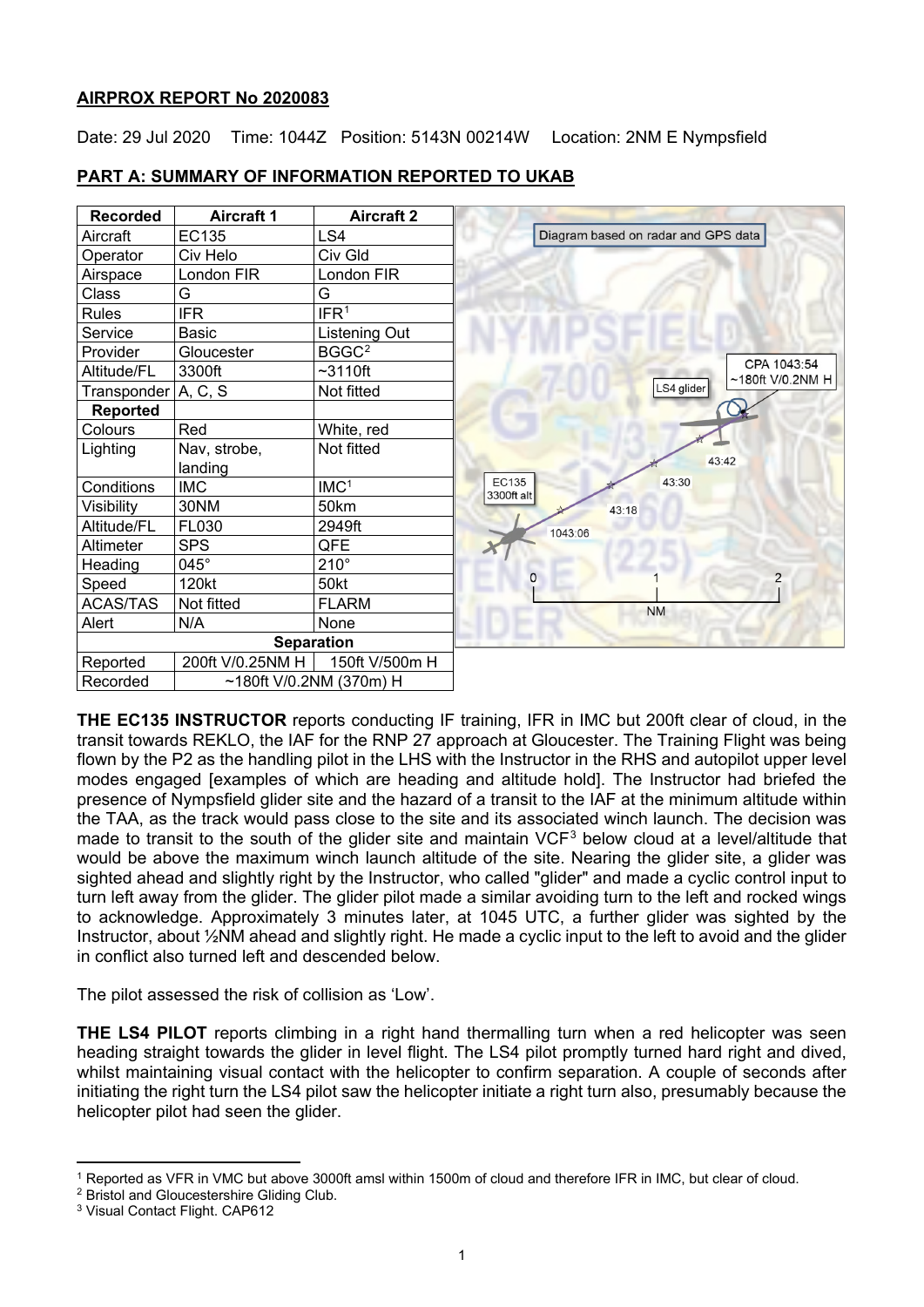# **AIRPROX REPORT No 2020083**

Date: 29 Jul 2020 Time: 1044Z Position: 5143N 00214W Location: 2NM E Nympsfield



# **PART A: SUMMARY OF INFORMATION REPORTED TO UKAB**

**THE EC135 INSTRUCTOR** reports conducting IF training, IFR in IMC but 200ft clear of cloud, in the transit towards REKLO, the IAF for the RNP 27 approach at Gloucester. The Training Flight was being flown by the P2 as the handling pilot in the LHS with the Instructor in the RHS and autopilot upper level modes engaged [examples of which are heading and altitude hold]. The Instructor had briefed the presence of Nympsfield glider site and the hazard of a transit to the IAF at the minimum altitude within the TAA, as the track would pass close to the site and its associated winch launch. The decision was made to transit to the south of the glider site and maintain VCF<sup>[3](#page-0-2)</sup> below cloud at a level/altitude that would be above the maximum winch launch altitude of the site. Nearing the glider site, a glider was sighted ahead and slightly right by the Instructor, who called "glider" and made a cyclic control input to turn left away from the glider. The glider pilot made a similar avoiding turn to the left and rocked wings to acknowledge. Approximately 3 minutes later, at 1045 UTC, a further glider was sighted by the Instructor, about ½NM ahead and slightly right. He made a cyclic input to the left to avoid and the glider in conflict also turned left and descended below.

The pilot assessed the risk of collision as 'Low'.

**THE LS4 PILOT** reports climbing in a right hand thermalling turn when a red helicopter was seen heading straight towards the glider in level flight. The LS4 pilot promptly turned hard right and dived, whilst maintaining visual contact with the helicopter to confirm separation. A couple of seconds after initiating the right turn the LS4 pilot saw the helicopter initiate a right turn also, presumably because the helicopter pilot had seen the glider.

<span id="page-0-0"></span><sup>1</sup> Reported as VFR in VMC but above 3000ft amsl within 1500m of cloud and therefore IFR in IMC, but clear of cloud.

<span id="page-0-1"></span><sup>2</sup> Bristol and Gloucestershire Gliding Club.

<span id="page-0-2"></span><sup>3</sup> Visual Contact Flight. CAP612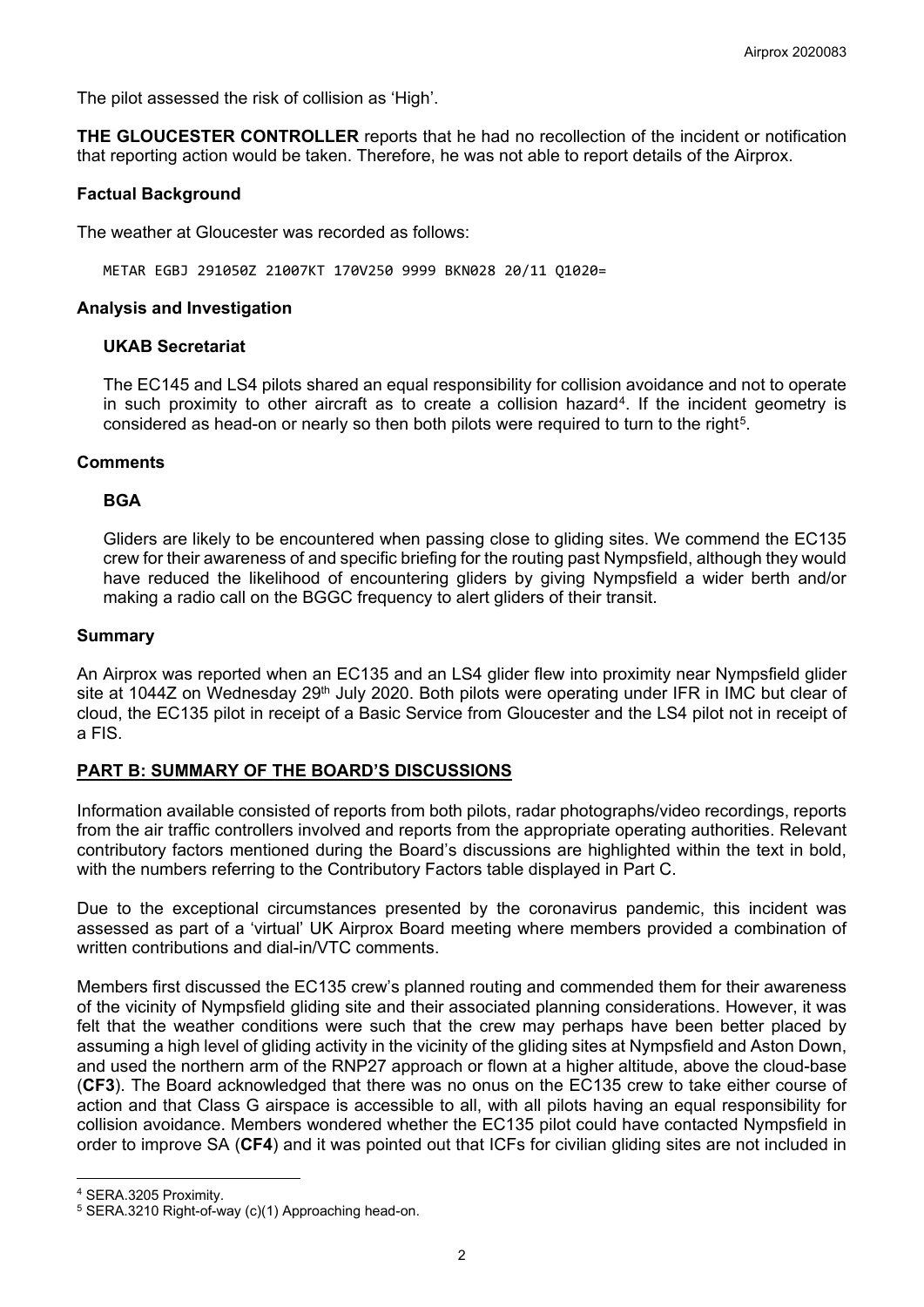The pilot assessed the risk of collision as 'High'.

**THE GLOUCESTER CONTROLLER** reports that he had no recollection of the incident or notification that reporting action would be taken. Therefore, he was not able to report details of the Airprox.

## **Factual Background**

The weather at Gloucester was recorded as follows:

METAR EGBJ 291050Z 21007KT 170V250 9999 BKN028 20/11 Q1020=

### **Analysis and Investigation**

#### **UKAB Secretariat**

The EC145 and LS4 pilots shared an equal responsibility for collision avoidance and not to operate in such proximity to other aircraft as to create a collision hazard<sup>[4](#page-1-0)</sup>. If the incident geometry is considered as head-on or nearly so then both pilots were required to turn to the right<sup>5</sup>.

#### **Comments**

## **BGA**

Gliders are likely to be encountered when passing close to gliding sites. We commend the EC135 crew for their awareness of and specific briefing for the routing past Nympsfield, although they would have reduced the likelihood of encountering gliders by giving Nympsfield a wider berth and/or making a radio call on the BGGC frequency to alert gliders of their transit.

## **Summary**

An Airprox was reported when an EC135 and an LS4 glider flew into proximity near Nympsfield glider site at 1044Z on Wednesday 29<sup>th</sup> July 2020. Both pilots were operating under IFR in IMC but clear of cloud, the EC135 pilot in receipt of a Basic Service from Gloucester and the LS4 pilot not in receipt of a FIS.

# **PART B: SUMMARY OF THE BOARD'S DISCUSSIONS**

Information available consisted of reports from both pilots, radar photographs/video recordings, reports from the air traffic controllers involved and reports from the appropriate operating authorities. Relevant contributory factors mentioned during the Board's discussions are highlighted within the text in bold, with the numbers referring to the Contributory Factors table displayed in Part C.

Due to the exceptional circumstances presented by the coronavirus pandemic, this incident was assessed as part of a 'virtual' UK Airprox Board meeting where members provided a combination of written contributions and dial-in/VTC comments.

Members first discussed the EC135 crew's planned routing and commended them for their awareness of the vicinity of Nympsfield gliding site and their associated planning considerations. However, it was felt that the weather conditions were such that the crew may perhaps have been better placed by assuming a high level of gliding activity in the vicinity of the gliding sites at Nympsfield and Aston Down, and used the northern arm of the RNP27 approach or flown at a higher altitude, above the cloud-base (**CF3**). The Board acknowledged that there was no onus on the EC135 crew to take either course of action and that Class G airspace is accessible to all, with all pilots having an equal responsibility for collision avoidance. Members wondered whether the EC135 pilot could have contacted Nympsfield in order to improve SA (**CF4**) and it was pointed out that ICFs for civilian gliding sites are not included in

<span id="page-1-0"></span><sup>4</sup> SERA.3205 Proximity.

<span id="page-1-1"></span><sup>5</sup> SERA.3210 Right-of-way (c)(1) Approaching head-on.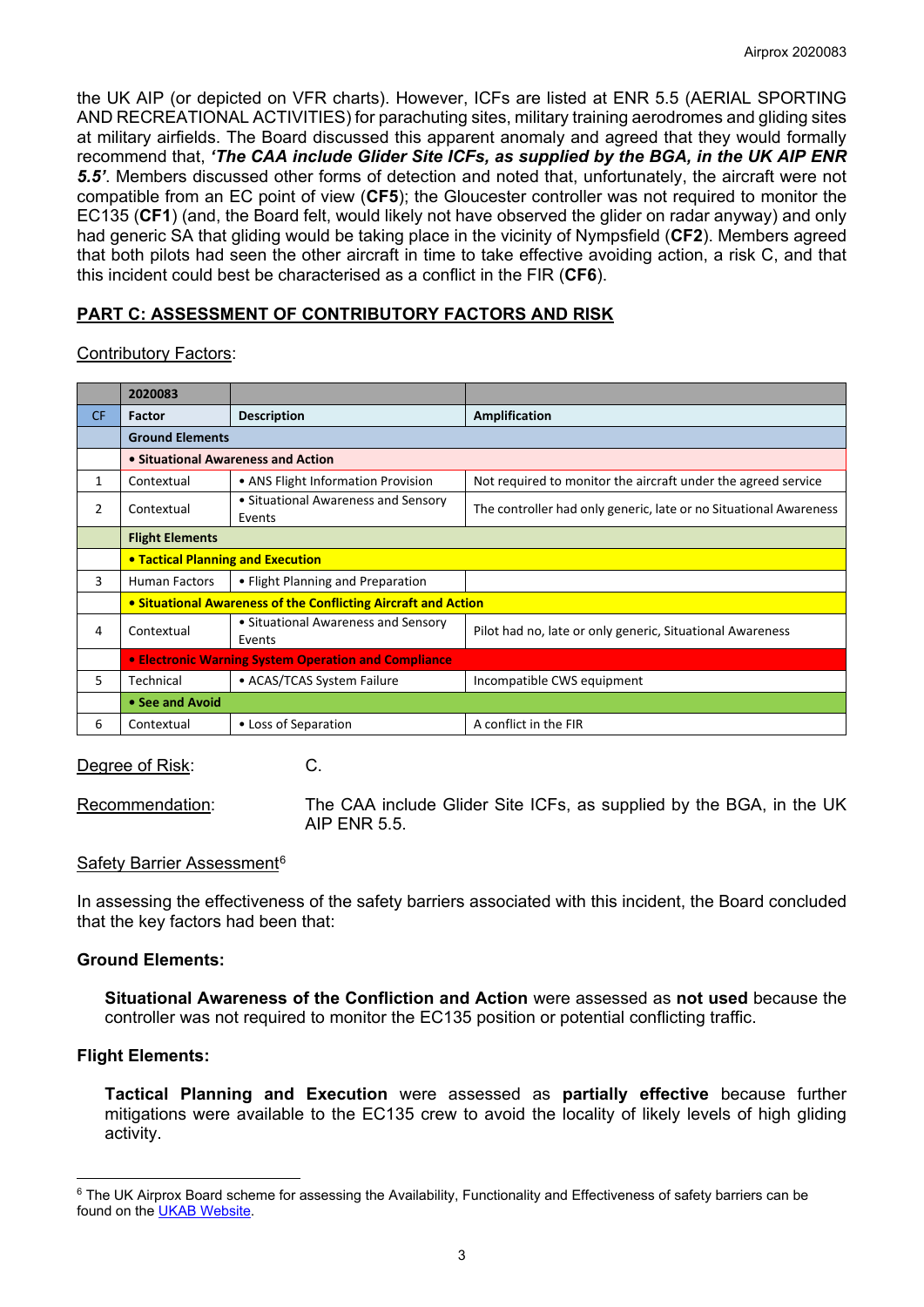the UK AIP (or depicted on VFR charts). However, ICFs are listed at ENR 5.5 (AERIAL SPORTING AND RECREATIONAL ACTIVITIES) for parachuting sites, military training aerodromes and gliding sites at military airfields. The Board discussed this apparent anomaly and agreed that they would formally recommend that, *'The CAA include Glider Site ICFs, as supplied by the BGA, in the UK AIP ENR 5.5'*. Members discussed other forms of detection and noted that, unfortunately, the aircraft were not compatible from an EC point of view (**CF5**); the Gloucester controller was not required to monitor the EC135 (**CF1**) (and, the Board felt, would likely not have observed the glider on radar anyway) and only had generic SA that gliding would be taking place in the vicinity of Nympsfield (**CF2**). Members agreed that both pilots had seen the other aircraft in time to take effective avoiding action, a risk C, and that this incident could best be characterised as a conflict in the FIR (**CF6**).

# **PART C: ASSESSMENT OF CONTRIBUTORY FACTORS AND RISK**

#### Contributory Factors:

|           | 2020083                                              |                                                                |                                                                   |  |  |  |  |  |  |  |
|-----------|------------------------------------------------------|----------------------------------------------------------------|-------------------------------------------------------------------|--|--|--|--|--|--|--|
| <b>CF</b> | Factor                                               | <b>Description</b>                                             | Amplification                                                     |  |  |  |  |  |  |  |
|           | <b>Ground Elements</b>                               |                                                                |                                                                   |  |  |  |  |  |  |  |
|           | • Situational Awareness and Action                   |                                                                |                                                                   |  |  |  |  |  |  |  |
| 1         | Contextual                                           | • ANS Flight Information Provision                             | Not required to monitor the aircraft under the agreed service     |  |  |  |  |  |  |  |
| 2         | Contextual                                           | • Situational Awareness and Sensory<br>Events                  | The controller had only generic, late or no Situational Awareness |  |  |  |  |  |  |  |
|           | <b>Flight Elements</b>                               |                                                                |                                                                   |  |  |  |  |  |  |  |
|           |                                                      | <b>• Tactical Planning and Execution</b>                       |                                                                   |  |  |  |  |  |  |  |
| 3         | <b>Human Factors</b>                                 | • Flight Planning and Preparation                              |                                                                   |  |  |  |  |  |  |  |
|           |                                                      | • Situational Awareness of the Conflicting Aircraft and Action |                                                                   |  |  |  |  |  |  |  |
| 4         | Contextual                                           | • Situational Awareness and Sensory<br>Events                  | Pilot had no, late or only generic, Situational Awareness         |  |  |  |  |  |  |  |
|           | • Electronic Warning System Operation and Compliance |                                                                |                                                                   |  |  |  |  |  |  |  |
| 5.        | Technical                                            | • ACAS/TCAS System Failure                                     | Incompatible CWS equipment                                        |  |  |  |  |  |  |  |
|           | • See and Avoid                                      |                                                                |                                                                   |  |  |  |  |  |  |  |
| 6         | Contextual                                           | • Loss of Separation                                           | A conflict in the FIR                                             |  |  |  |  |  |  |  |

Degree of Risk: C.

Recommendation: The CAA include Glider Site ICFs, as supplied by the BGA, in the UK AIP ENR 5.5.

#### Safety Barrier Assessment<sup>[6](#page-2-0)</sup>

In assessing the effectiveness of the safety barriers associated with this incident, the Board concluded that the key factors had been that:

# **Ground Elements:**

**Situational Awareness of the Confliction and Action** were assessed as **not used** because the controller was not required to monitor the EC135 position or potential conflicting traffic.

# **Flight Elements:**

**Tactical Planning and Execution** were assessed as **partially effective** because further mitigations were available to the EC135 crew to avoid the locality of likely levels of high gliding activity.

<span id="page-2-0"></span><sup>&</sup>lt;sup>6</sup> The UK Airprox Board scheme for assessing the Availability, Functionality and Effectiveness of safety barriers can be found on the [UKAB Website.](http://www.airproxboard.org.uk/Learn-more/Airprox-Barrier-Assessment/)